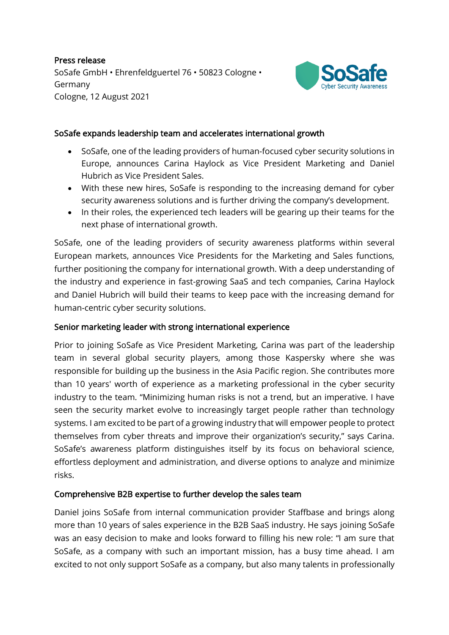Press release SoSafe GmbH • Ehrenfeldguertel 76 • 50823 Cologne • Germany Cologne, 12 August 2021



### SoSafe expands leadership team and accelerates international growth

- SoSafe, one of the leading providers of human-focused cyber security solutions in Europe, announces Carina Haylock as Vice President Marketing and Daniel Hubrich as Vice President Sales.
- With these new hires, SoSafe is responding to the increasing demand for cyber security awareness solutions and is further driving the company's development.
- In their roles, the experienced tech leaders will be gearing up their teams for the next phase of international growth.

SoSafe, one of the leading providers of security awareness platforms within several European markets, announces Vice Presidents for the Marketing and Sales functions, further positioning the company for international growth. With a deep understanding of the industry and experience in fast-growing SaaS and tech companies, Carina Haylock and Daniel Hubrich will build their teams to keep pace with the increasing demand for human-centric cyber security solutions.

#### Senior marketing leader with strong international experience

Prior to joining SoSafe as Vice President Marketing, Carina was part of the leadership team in several global security players, among those Kaspersky where she was responsible for building up the business in the Asia Pacific region. She contributes more than 10 years' worth of experience as a marketing professional in the cyber security industry to the team. "Minimizing human risks is not a trend, but an imperative. I have seen the security market evolve to increasingly target people rather than technology systems. I am excited to be part of a growing industry that will empower people to protect themselves from cyber threats and improve their organization's security," says Carina. SoSafe's awareness platform distinguishes itself by its focus on behavioral science, effortless deployment and administration, and diverse options to analyze and minimize risks.

#### Comprehensive B2B expertise to further develop the sales team

Daniel joins SoSafe from internal communication provider Staffbase and brings along more than 10 years of sales experience in the B2B SaaS industry. He says joining SoSafe was an easy decision to make and looks forward to filling his new role: "I am sure that SoSafe, as a company with such an important mission, has a busy time ahead. I am excited to not only support SoSafe as a company, but also many talents in professionally